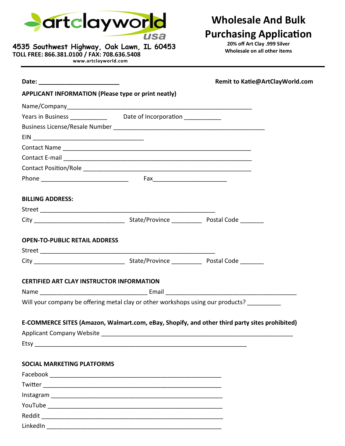

**4535 Southwest Highway, Oak Lawn, IL 60453**

**www.artclayworld.com**

**TOLL FREE: 866.381.0100 / FAX: 708.636.5408**

# **Wholesale And Bulk Purchasing Application**

**20% off Art Clay .999 Silver Wholesale on all other items**

|                                                                                               |  | Remit to Katie@ArtClayWorld.com |
|-----------------------------------------------------------------------------------------------|--|---------------------------------|
| <b>APPLICANT INFORMATION (Please type or print neatly)</b>                                    |  |                                 |
|                                                                                               |  |                                 |
| Years in Business ______________ Date of Incorporation ___________                            |  |                                 |
|                                                                                               |  |                                 |
|                                                                                               |  |                                 |
|                                                                                               |  |                                 |
|                                                                                               |  |                                 |
|                                                                                               |  |                                 |
|                                                                                               |  |                                 |
| <b>BILLING ADDRESS:</b>                                                                       |  |                                 |
|                                                                                               |  |                                 |
|                                                                                               |  |                                 |
| <b>OPEN-TO-PUBLIC RETAIL ADDRESS</b>                                                          |  |                                 |
|                                                                                               |  |                                 |
|                                                                                               |  |                                 |
| <b>CERTIFIED ART CLAY INSTRUCTOR INFORMATION</b>                                              |  |                                 |
|                                                                                               |  |                                 |
| Will your company be offering metal clay or other workshops using our products?               |  |                                 |
| E-COMMERCE SITES (Amazon, Walmart.com, eBay, Shopify, and other third party sites prohibited) |  |                                 |
|                                                                                               |  |                                 |
|                                                                                               |  |                                 |
| <b>SOCIAL MARKETING PLATFORMS</b>                                                             |  |                                 |
|                                                                                               |  |                                 |
|                                                                                               |  |                                 |
|                                                                                               |  |                                 |
|                                                                                               |  |                                 |
|                                                                                               |  |                                 |
|                                                                                               |  |                                 |